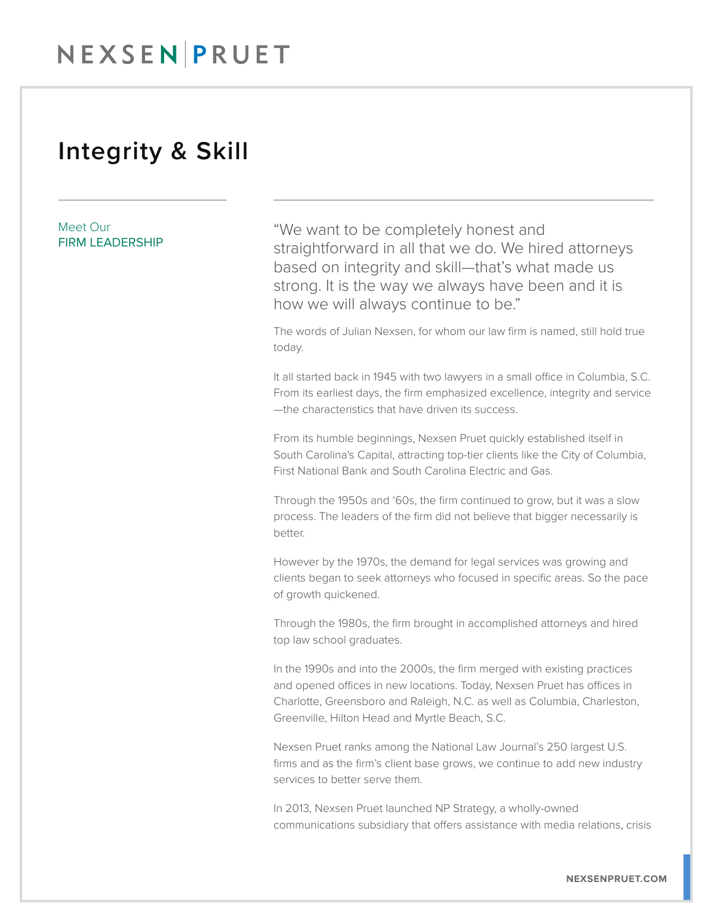## NEXSEN PRUET

## Integrity & Skill

Meet Our FIRM LEADERSHIP "We want to be completely honest and straightforward in all that we do. We hired attorneys based on integrity and skill—that's what made us strong. It is the way we always have been and it is how we will always continue to be."

The words of Julian Nexsen, for whom our law firm is named, still hold true today.

It all started back in 1945 with two lawyers in a small office in Columbia, S.C. From its earliest days, the firm emphasized excellence, integrity and service —the characteristics that have driven its success.

From its humble beginnings, Nexsen Pruet quickly established itself in South Carolina's Capital, attracting top-tier clients like the City of Columbia, First National Bank and South Carolina Electric and Gas.

Through the 1950s and '60s, the firm continued to grow, but it was a slow process. The leaders of the firm did not believe that bigger necessarily is better.

However by the 1970s, the demand for legal services was growing and clients began to seek attorneys who focused in specific areas. So the pace of growth quickened.

Through the 1980s, the firm brought in accomplished attorneys and hired top law school graduates.

In the 1990s and into the 2000s, the firm merged with existing practices and opened offices in new locations. Today, Nexsen Pruet has offices in Charlotte, Greensboro and Raleigh, N.C. as well as Columbia, Charleston, Greenville, Hilton Head and Myrtle Beach, S.C.

Nexsen Pruet ranks among the National Law Journal's 250 largest U.S. firms and as the firm's client base grows, we continue to add new industry services to better serve them.

In 2013, Nexsen Pruet launched NP Strategy, a wholly-owned communications subsidiary that offers assistance with media relations, crisis